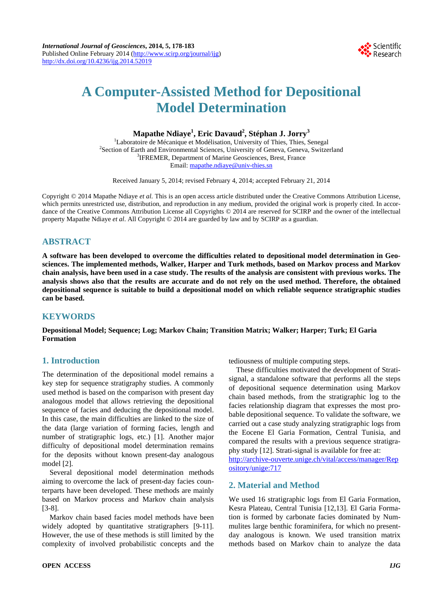

# **A Computer-Assisted Method for Depositional Model Determination**

**Mapathe Ndiaye<sup>1</sup> , Eric Davaud2 , Stéphan J. Jorry<sup>3</sup>**

<sup>1</sup>Laboratoire de Mécanique et Modélisation, University of Thies, Thies, Senegal<br><sup>2</sup>Section of Earth and Environmental Sciences, University of Geneva, Geneva, Switze <sup>2</sup> Section of Earth and Environmental Sciences, University of Geneva, Geneva, Switzerland <sup>3</sup>IFREMER, Department of Marine Geosciences, Brest, France Email: mapathe.ndiaye@univ-thies.sn

Received January 5, 2014; revised February 4, 2014; accepted February 21, 2014

Copyright © 2014 Mapathe Ndiaye *et al.* This is an open access article distributed under the Creative Commons Attribution License, which permits unrestricted use, distribution, and reproduction in any medium, provided the original work is properly cited. In accordance of the Creative Commons Attribution License all Copyrights © 2014 are reserved for SCIRP and the owner of the intellectual property Mapathe Ndiaye *et al*. All Copyright © 2014 are guarded by law and by SCIRP as a guardian.

# **ABSTRACT**

**A software has been developed to overcome the difficulties related to depositional model determination in Geosciences. The implemented methods, Walker, Harper and Turk methods, based on Markov process and Markov chain analysis, have been used in a case study. The results of the analysis are consistent with previous works. The analysis shows also that the results are accurate and do not rely on the used method. Therefore, the obtained depositional sequence is suitable to build a depositional model on which reliable sequence stratigraphic studies can be based.**

# **KEYWORDS**

**Depositional Model; Sequence; Log; Markov Chain; Transition Matrix; Walker; Harper; Turk; El Garia Formation**

# **1. Introduction**

The determination of the depositional model remains a key step for sequence stratigraphy studies. A commonly used method is based on the comparison with present day analogous model that allows retrieving the depositional sequence of facies and deducing the depositional model. In this case, the main difficulties are linked to the size of the data (large variation of forming facies, length and number of stratigraphic logs, etc.) [1]. Another major difficulty of depositional model determination remains for the deposits without known present-day analogous model [2].

Several depositional model determination methods aiming to overcome the lack of present-day facies counterparts have been developed. These methods are mainly based on Markov process and Markov chain analysis [3-8].

Markov chain based facies model methods have been widely adopted by quantitative stratigraphers [9-11]. However, the use of these methods is still limited by the complexity of involved probabilistic concepts and the tediousness of multiple computing steps.

These difficulties motivated the development of Stratisignal, a standalone software that performs all the steps of depositional sequence determination using Markov chain based methods, from the stratigraphic log to the facies relationship diagram that expresses the most probable depositional sequence. To validate the software, we carried out a case study analyzing stratigraphic logs from the Eocene El Garia Formation, Central Tunisia, and compared the results with a previous sequence stratigraphy study [12]. Strati-signal is available for free at: [http://archive-ouverte.unige.ch/vital/access/manager/Rep](http://archive-ouverte.unige.ch/vital/access/manager/Repository/unige:717) [ository/unige:717](http://archive-ouverte.unige.ch/vital/access/manager/Repository/unige:717)

## **2. Material and Method**

We used 16 stratigraphic logs from El Garia Formation, Kesra Plateau, Central Tunisia [12,13]. El Garia Formation is formed by carbonate facies dominated by Nummulites large benthic foraminifera, for which no presentday analogous is known. We used transition matrix methods based on Markov chain to analyze the data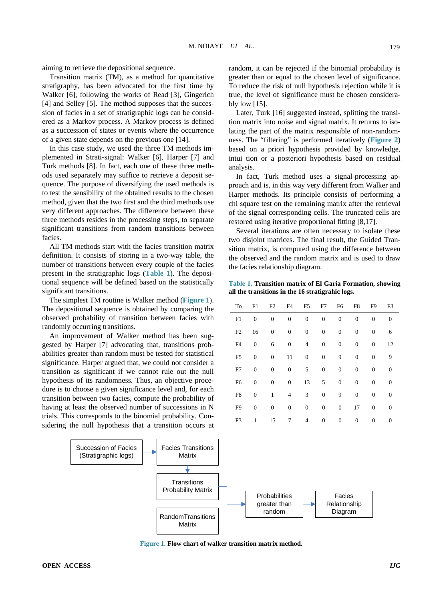aiming to retrieve the depositional sequence.

Transition matrix (TM), as a method for quantitative stratigraphy, has been advocated for the first time by Walker [6], following the works of Read [3], Gingerich [4] and Selley [5]. The method supposes that the succession of facies in a set of stratigraphic logs can be considered as a Markov process. A Markov process is defined as a succession of states or events where the occurrence of a given state depends on the previous one [14].

In this case study, we used the three TM methods implemented in Strati-signal: Walker [6], Harper [7] and Turk methods [8]. In fact, each one of these three methods used separately may suffice to retrieve a deposit sequence. The purpose of diversifying the used methods is to test the sensibility of the obtained results to the chosen method, given that the two first and the third methods use very different approaches. The difference between these three methods resides in the processing steps, to separate significant transitions from random transitions between facies.

All TM methods start with the facies transition matrix definition. It consists of storing in a two-way table, the number of transitions between every couple of the facies present in the stratigraphic logs (**[Table 1](#page-1-0)**). The depositional sequence will be defined based on the statistically significant transitions.

The simplest TM routine is Walker method (**[Figure 1](#page-1-1)**). The depositional sequence is obtained by comparing the observed probability of transition between facies with randomly occurring transitions.

An improvement of Walker method has been suggested by Harper [7] advocating that, transitions probabilities greater than random must be tested for statistical significance. Harper argued that, we could not consider a transition as significant if we cannot rule out the null hypothesis of its randomness. Thus, an objective procedure is to choose a given significance level and, for each transition between two facies, compute the probability of having at least the observed number of successions in N trials. This corresponds to the binomial probability. Considering the null hypothesis that a transition occurs at random, it can be rejected if the binomial probability is greater than or equal to the chosen level of significance. To reduce the risk of null hypothesis rejection while it is true, the level of significance must be chosen considerably low [15].

Later, Turk [16] suggested instead, splitting the transition matrix into noise and signal matrix. It returns to isolating the part of the matrix responsible of non-randomness. The "filtering" is performed iteratively (**[Figure 2](#page-2-0)**) based on a priori hypothesis provided by knowledge, intui tion or a posteriori hypothesis based on residual analysis.

In fact, Turk method uses a signal-processing approach and is, in this way very different from Walker and Harper methods. Its principle consists of performing a chi square test on the remaining matrix after the retrieval of the signal corresponding cells. The truncated cells are restored using iterative proportional fitting [8,17].

Several iterations are often necessary to isolate these two disjoint matrices. The final result, the Guided Transition matrix, is computed using the difference between the observed and the random matrix and is used to draw the facies relationship diagram.

<span id="page-1-0"></span>**Table 1. Transition matrix of El Garia Formation, showing all the transitions in the 16 stratigrahic logs.**

| To             | F1               | F <sub>2</sub>   | F4               | F <sub>5</sub>   | F7               | F <sub>6</sub>   | F8               | F <sub>9</sub>   | F3           |
|----------------|------------------|------------------|------------------|------------------|------------------|------------------|------------------|------------------|--------------|
| F1             | 0                | $\boldsymbol{0}$ | $\boldsymbol{0}$ | $\boldsymbol{0}$ | $\boldsymbol{0}$ | $\boldsymbol{0}$ | $\boldsymbol{0}$ | $\overline{0}$   | $\mathbf{0}$ |
| F2             | 16               | $\boldsymbol{0}$ | 0                | $\boldsymbol{0}$ | $\boldsymbol{0}$ | 0                | $\boldsymbol{0}$ | $\mathbf{0}$     | 6            |
| F <sub>4</sub> | 0                | 6                | $\boldsymbol{0}$ | 4                | $\boldsymbol{0}$ | $\boldsymbol{0}$ | $\boldsymbol{0}$ | $\boldsymbol{0}$ | 12           |
| F <sub>5</sub> | 0                | $\boldsymbol{0}$ | 11               | $\boldsymbol{0}$ | $\boldsymbol{0}$ | 9                | $\boldsymbol{0}$ | $\mathbf{0}$     | 9            |
| F7             | $\boldsymbol{0}$ | $\boldsymbol{0}$ | $\boldsymbol{0}$ | 5                | $\boldsymbol{0}$ | $\boldsymbol{0}$ | $\boldsymbol{0}$ | $\boldsymbol{0}$ | $\mathbf{0}$ |
| F <sub>6</sub> | 0                | $\boldsymbol{0}$ | $\boldsymbol{0}$ | 13               | 5                | $\boldsymbol{0}$ | $\boldsymbol{0}$ | $\mathbf{0}$     | $\mathbf{0}$ |
| F8             | 0                | 1                | 4                | 3                | $\boldsymbol{0}$ | 9                | 0                | $\boldsymbol{0}$ | $\mathbf{0}$ |
| F <sub>9</sub> | $\boldsymbol{0}$ | $\boldsymbol{0}$ | $\boldsymbol{0}$ | $\boldsymbol{0}$ | $\boldsymbol{0}$ | $\boldsymbol{0}$ | 17               | $\mathbf{0}$     | $\mathbf{0}$ |
| F3             | 1                | 15               | 7                | 4                | $\boldsymbol{0}$ | $\boldsymbol{0}$ | 0                | 0                | $\mathbf{0}$ |

<span id="page-1-1"></span>

**Figure 1. Flow chart of walker transition matrix method.**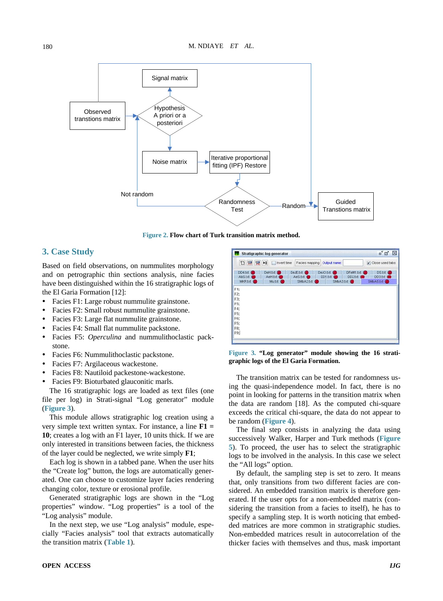<span id="page-2-0"></span>

**Figure 2. Flow chart of Turk transition matrix method.**

## **3. Case Study**

Based on field observations, on nummulites morphology and on petrographic thin sections analysis, nine facies have been distinguished within the 16 stratigraphic logs of the El Garia Formation [12]:

- Facies F1: Large robust nummulite grainstone.
- Facies F2: Small robust nummulite grainstone.
- Facies F3: Large flat nummulite grainstone.
- Facies F4: Small flat nummulite packstone.
- Facies F5: *Operculina* and nummulithoclastic packstone.
- Facies F6: Nummulithoclastic packstone.
- Facies F7: Argilaceous wackestone.
- Facies F8: Nautiloid packestone-wackestone.
- Facies F9: Bioturbated glauconitic marls.

The 16 stratigraphic logs are loaded as text files (one file per log) in Strati-signal "Log generator" module (**[Figure 3](#page-2-1)**).

This module allows stratigraphic log creation using a very simple text written syntax. For instance, a line **F1 = 10**; creates a log with an F1 layer, 10 units thick. If we are only interested in transitions between facies, the thickness of the layer could be neglected, we write simply **F1**;

Each log is shown in a tabbed pane. When the user hits the "Create log" button, the logs are automatically generated. One can choose to customize layer facies rendering changing color, texture or erosional profile.

Generated stratigraphic logs are shown in the "Log properties" window. "Log properties" is a tool of the "Log analysis" module.

In the next step, we use "Log analysis" module, especially "Facies analysis" tool that extracts automatically the transition matrix (**[Table 1](#page-1-0)**).

<span id="page-2-1"></span>

**Figure 3. "Log generator" module showing the 16 stratigraphic logs of the El Garia Formation.**

The transition matrix can be tested for randomness using the quasi-independence model. In fact, there is no point in looking for patterns in the transition matrix when the data are random [18]. As the computed chi-square exceeds the critical chi-square, the data do not appear to be random (**[Figure 4](#page-3-0)**).

The final step consists in analyzing the data using successively Walker, Harper and Turk methods (**[Figure](#page-3-1)  [5](#page-3-1)**). To proceed, the user has to select the stratigraphic logs to be involved in the analysis. In this case we select the "All logs" option.

By default, the sampling step is set to zero. It means that, only transitions from two different facies are considered. An embedded transition matrix is therefore generated. If the user opts for a non-embedded matrix (considering the transition from a facies to itself), he has to specify a sampling step. It is worth noticing that embedded matrices are more common in stratigraphic studies. Non-embedded matrices result in autocorrelation of the thicker facies with themselves and thus, mask important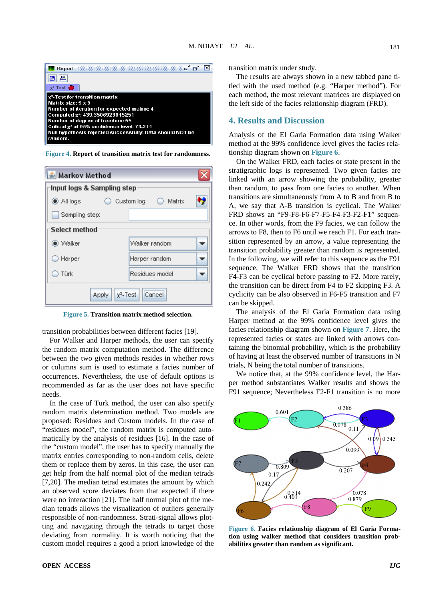<span id="page-3-0"></span>

**Figure 4. Report of transition matrix test for randomness.**

<span id="page-3-1"></span>

| ≗ Markov Method                |                                 |                |  |  |  |  |  |  |  |  |
|--------------------------------|---------------------------------|----------------|--|--|--|--|--|--|--|--|
| Input logs & Sampling step     |                                 |                |  |  |  |  |  |  |  |  |
| tion All logs                  | $\bigcirc$ Matrix<br>Custom log |                |  |  |  |  |  |  |  |  |
| Sampling step:                 |                                 |                |  |  |  |  |  |  |  |  |
| Select method                  |                                 |                |  |  |  |  |  |  |  |  |
| $\bullet$ Walker               |                                 | Walker random  |  |  |  |  |  |  |  |  |
| $\supset$ Harper               |                                 | Harper random  |  |  |  |  |  |  |  |  |
| Türk                           |                                 | Residues model |  |  |  |  |  |  |  |  |
| Cancel<br>$Y^2$ -Test<br>Apply |                                 |                |  |  |  |  |  |  |  |  |

**Figure 5. Transition matrix method selection.**

transition probabilities between different facies [19].

For Walker and Harper methods, the user can specify the random matrix computation method. The difference between the two given methods resides in whether rows or columns sum is used to estimate a facies number of occurrences. Nevertheless, the use of default options is recommended as far as the user does not have specific needs.

In the case of Turk method, the user can also specify random matrix determination method. Two models are proposed: Residues and Custom models. In the case of "residues model", the random matrix is computed automatically by the analysis of residues [16]. In the case of the "custom model", the user has to specify manually the matrix entries corresponding to non-random cells, delete them or replace them by zeros. In this case, the user can get help from the half normal plot of the median tetrads [7,20]. The median tetrad estimates the amount by which an observed score deviates from that expected if there were no interaction [21]. The half normal plot of the median tetrads allows the visualization of outliers generally responsible of non-randomness. Strati-signal allows plotting and navigating through the tetrads to target those deviating from normality. It is worth noticing that the custom model requires a good a priori knowledge of the transition matrix under study.

The results are always shown in a new tabbed pane titled with the used method (e.g. "Harper method"). For each method, the most relevant matrices are displayed on the left side of the facies relationship diagram (FRD).

## **4. Results and Discussion**

Analysis of the El Garia Formation data using Walker method at the 99% confidence level gives the facies relationship diagram shown on **[Figure 6](#page-3-2)**.

On the Walker FRD, each facies or state present in the stratigraphic logs is represented. Two given facies are linked with an arrow showing the probability, greater than random, to pass from one facies to another. When transitions are simultaneously from A to B and from B to A, we say that A-B transition is cyclical. The Walker FRD shows an "F9-F8-F6-F7-F5-F4-F3-F2-F1" sequence. In other words, from the F9 facies, we can follow the arrows to F8, then to F6 until we reach F1. For each transition represented by an arrow, a value representing the transition probability greater than random is represented. In the following, we will refer to this sequence as the F91 sequence. The Walker FRD shows that the transition F4-F3 can be cyclical before passing to F2. More rarely, the transition can be direct from F4 to F2 skipping F3. A cyclicity can be also observed in F6-F5 transition and F7 can be skipped.

The analysis of the El Garia Formation data using Harper method at the 99% confidence level gives the facies relationship diagram shown on **[Figure 7](#page-4-0)**. Here, the represented facies or states are linked with arrows containing the binomial probability, which is the probability of having at least the observed number of transitions in N trials, N being the total number of transitions.

We notice that, at the 99% confidence level, the Harper method substantiates Walker results and shows the F91 sequence; Nevertheless F2-F1 transition is no more

<span id="page-3-2"></span>

**Figure 6. Facies relationship diagram of El Garia Formation using walker method that considers transition probabilities greater than random as significant.**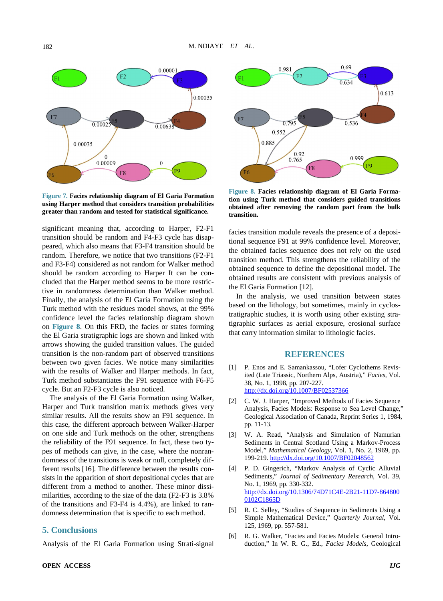<span id="page-4-0"></span>

**Figure 7. Facies relationship diagram of El Garia Formation using Harper method that considers transition probabilities greater than random and tested for statistical significance.**

significant meaning that, according to Harper, F2-F1 transition should be random and F4-F3 cycle has disappeared, which also means that F3-F4 transition should be random. Therefore, we notice that two transitions (F2-F1 and F3-F4) considered as not random for Walker method should be random according to Harper It can be concluded that the Harper method seems to be more restrictive in randomness determination than Walker method. Finally, the analysis of the El Garia Formation using the Turk method with the residues model shows, at the 99% confidence level the facies relationship diagram shown on **[Figure 8](#page-4-1)**. On this FRD, the facies or states forming the El Garia stratigraphic logs are shown and linked with arrows showing the guided transition values. The guided transition is the non-random part of observed transitions between two given facies. We notice many similarities with the results of Walker and Harper methods. In fact, Turk method substantiates the F91 sequence with F6-F5 cycle. But an F2-F3 cycle is also noticed.

The analysis of the El Garia Formation using Walker, Harper and Turk transition matrix methods gives very similar results. All the results show an F91 sequence. In this case, the different approach between Walker-Harper on one side and Turk methods on the other, strengthens the reliability of the F91 sequence. In fact, these two types of methods can give, in the case, where the nonrandomness of the transitions is weak or null, completely different results [16]. The difference between the results consists in the apparition of short depositional cycles that are different from a method to another. These minor dissimilarities, according to the size of the data (F2-F3 is 3.8% of the transitions and F3-F4 is 4.4%), are linked to randomness determination that is specific to each method.

## **5. Conclusions**

Analysis of the El Garia Formation using Strati-signal

<span id="page-4-1"></span>

**Figure 8. Facies relationship diagram of El Garia Formation using Turk method that considers guided transitions obtained after removing the random part from the bulk transition.**

facies transition module reveals the presence of a depositional sequence F91 at 99% confidence level. Moreover, the obtained facies sequence does not rely on the used transition method. This strengthens the reliability of the obtained sequence to define the depositional model. The obtained results are consistent with previous analysis of the El Garia Formation [12].

In the analysis, we used transition between states based on the lithology, but sometimes, mainly in cyclostratigraphic studies, it is worth using other existing stratigraphic surfaces as aerial exposure, erosional surface that carry information similar to lithologic facies.

#### **REFERENCES**

- [1] P. Enos and E. Samankassou, "Lofer Cyclothems Revisited (Late Triassic, Northern Alps, Austria)," *Facies*, Vol. 38, No. 1, 1998, pp. 207-227. <http://dx.doi.org/10.1007/BF02537366>
- [2] C. W. J. Harper, "Improved Methods of Facies Sequence Analysis, Facies Models: Response to Sea Level Change,' Geological Association of Canada, Reprint Series 1, 1984, pp. 11-13.
- [3] W. A. Read, "Analysis and Simulation of Namurian Sediments in Central Scotland Using a Markov-Process Model," *Mathematical Geology*, Vol. 1, No. 2, 1969, pp. 199-219. <http://dx.doi.org/10.1007/BF02048562>
- [4] P. D. Gingerich, "Markov Analysis of Cyclic Alluvial Sediments," *Journal of Sedimentary Research*, Vol. 39, No. 1, 1969, pp. 330-332. [http://dx.doi.org/10.1306/74D71C4E-2B21-11D7-864800](http://dx.doi.org/10.1306/74D71C4E-2B21-11D7-8648000102C1865D) [0102C1865D](http://dx.doi.org/10.1306/74D71C4E-2B21-11D7-8648000102C1865D)
- [5] R. C. Selley, "Studies of Sequence in Sediments Using a Simple Mathematical Device," *Quarterly Journal*, Vol. 125, 1969, pp. 557-581.
- [6] R. G. Walker, "Facies and Facies Models: General Introduction," In W. R. G., Ed., *Facies Models*, Geological